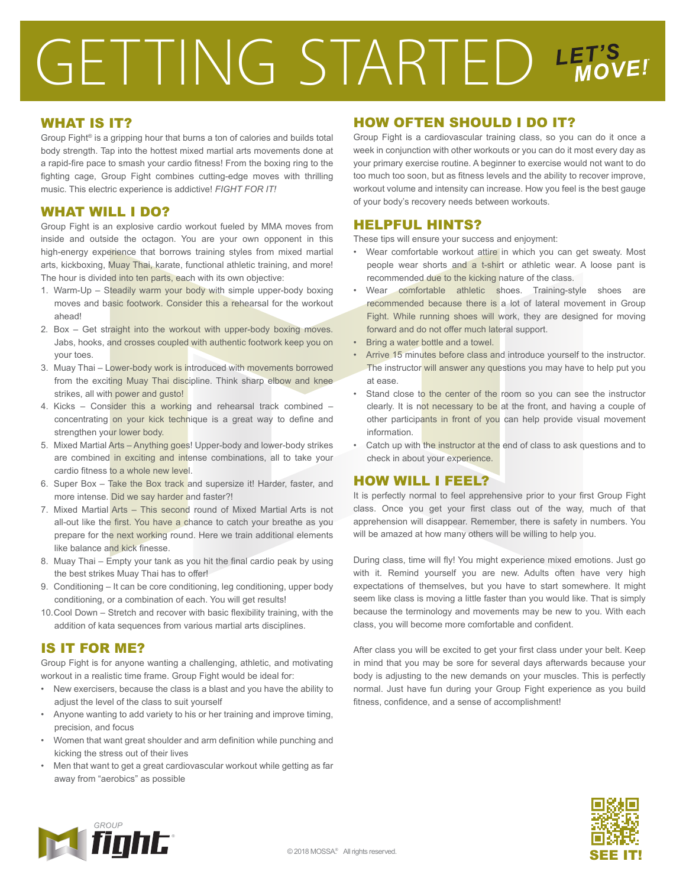# GETTING STARTED LET'S

#### WHAT IS IT?

Group Fight® is a gripping hour that burns a ton of calories and builds total body strength. Tap into the hottest mixed martial arts movements done at a rapid-fire pace to smash your cardio fitness! From the boxing ring to the fighting cage, Group Fight combines cutting-edge moves with thrilling music. This electric experience is addictive! *FIGHT FOR IT!*

#### WHAT WILL I DO?

Group Fight is an explosive cardio workout fueled by MMA moves from inside and outside the octagon. You are your own opponent in this high-energy experience that borrows training styles from mixed martial arts, kickboxing, Muay Thai, karate, functional athletic training, and more! The hour is divided into ten parts, each with its own objective:

- 1. Warm-Up Steadily warm your body with simple upper-body boxing moves and basic footwork. Consider this a rehearsal for the workout ahead!
- 2. Box Get straight into the workout with upper-body boxing moves. Jabs, hooks, and crosses coupled with authentic footwork keep you on your toes.
- 3. Muay Thai Lower-body work is introduced with movements borrowed from the exciting Muay Thai discipline. Think sharp elbow and knee strikes, all with power and gusto!
- 4. Kicks Consider this a working and rehearsal track combined concentrating on your kick technique is a great way to define and strengthen your lower body.
- 5. Mixed Martial Arts Anything goes! Upper-body and lower-body strikes are combined in exciting and intense combinations, all to take your cardio fitness to a whole new level.
- 6. Super Box Take the Box track and supersize it! Harder, faster, and more intense. Did we say harder and faster?!
- 7. Mixed Martial Arts This second round of Mixed Martial Arts is not all-out like the first. You have a chance to catch your breathe as you prepare for the next working round. Here we train additional elements like balance and kick finesse.
- 8. Muay Thai Empty your tank as you hit the final cardio peak by using the best strikes Muay Thai has to offer!
- 9. Conditioning It can be core conditioning, leg conditioning, upper body conditioning, or a combination of each. You will get results!
- 10. Cool Down Stretch and recover with basic flexibility training, with the addition of kata sequences from various martial arts disciplines.

# IS IT FOR ME?

Group Fight is for anyone wanting a challenging, athletic, and motivating workout in a realistic time frame. Group Fight would be ideal for:

- New exercisers, because the class is a blast and you have the ability to adjust the level of the class to suit yourself
- Anyone wanting to add variety to his or her training and improve timing, precision, and focus
- Women that want great shoulder and arm definition while punching and kicking the stress out of their lives
- Men that want to get a great cardiovascular workout while getting as far away from "aerobics" as possible

## HOW OFTEN SHOULD I DO IT?

Group Fight is a cardiovascular training class, so you can do it once a week in conjunction with other workouts or you can do it most every day as your primary exercise routine. A beginner to exercise would not want to do too much too soon, but as fitness levels and the ability to recover improve, workout volume and intensity can increase. How you feel is the best gauge of your body's recovery needs between workouts.

## HELPFUL HINTS?

These tips will ensure your success and enjoyment:

- Wear comfortable workout attire in which you can get sweaty. Most people wear shorts and a t-shirt or athletic wear. A loose pant is recommended due to the kicking nature of the class.
- Wear comfortable athletic shoes. Training-style shoes are recommended because there is a lot of lateral movement in Group Fight. While running shoes will work, they are designed for moving forward and do not offer much lateral support.
- Bring a water bottle and a towel.
- Arrive 15 minutes before class and introduce yourself to the instructor. The instructor will answer any questions you may have to help put you at ease.
- Stand close to the center of the room so you can see the instructor clearly. It is not necessary to be at the front, and having a couple of other participants in front of you can help provide visual movement information.
- Catch up with the instructor at the end of class to ask questions and to check in about your experience.

## HOW WILL I FEEL?

It is perfectly normal to feel apprehensive prior to your first Group Fight class. Once you get your first class out of the way, much of that apprehension will disappear. Remember, there is safety in numbers. You will be amazed at how many others will be willing to help you.

During class, time will fly! You might experience mixed emotions. Just go with it. Remind yourself you are new. Adults often have very high expectations of themselves, but you have to start somewhere. It might seem like class is moving a little faster than you would like. That is simply because the terminology and movements may be new to you. With each class, you will become more comfortable and confident.

After class you will be excited to get your first class under your belt. Keep in mind that you may be sore for several days afterwards because your body is adjusting to the new demands on your muscles. This is perfectly normal. Just have fun during your Group Fight experience as you build fitness, confidence, and a sense of accomplishment!